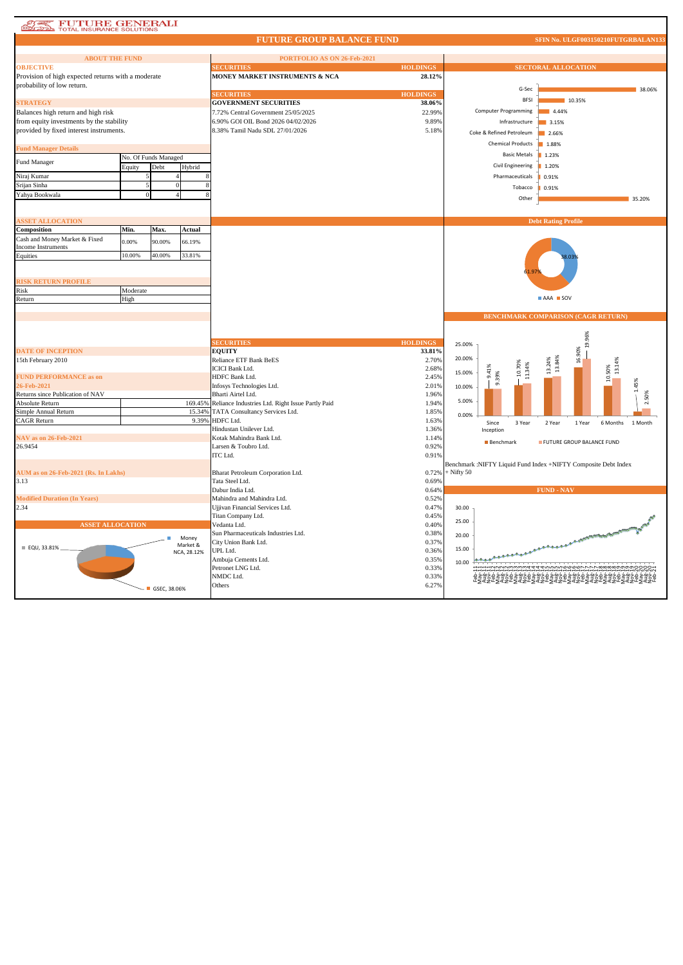## **AND FUTURE GENERALI**

### **FUTURE GROUP BALANCE FUND**

| <b>ABOUT THE FUND</b>                                                               |          |                      |                   | PORTFOLIO AS ON 26-Feb-2021                      |                 |              |                                           |                                                                |  |  |  |
|-------------------------------------------------------------------------------------|----------|----------------------|-------------------|--------------------------------------------------|-----------------|--------------|-------------------------------------------|----------------------------------------------------------------|--|--|--|
| <b>OBJECTIVE</b>                                                                    |          |                      |                   | <b>ECURITIES</b>                                 | <b>HOLDINGS</b> |              | <b>SECTORAL ALLOCATION</b>                |                                                                |  |  |  |
| Provision of high expected returns with a moderate                                  |          |                      |                   | <b>MONEY MARKET INSTRUMENTS &amp; NCA</b>        | 28.12%          |              |                                           |                                                                |  |  |  |
| probability of low return.                                                          |          |                      |                   |                                                  |                 |              | G-Sec                                     |                                                                |  |  |  |
|                                                                                     |          |                      |                   | <b>SECURITIES</b>                                | <b>HOLDINGS</b> |              | <b>BFSI</b><br>10.35%                     |                                                                |  |  |  |
| <b>STRATEGY</b>                                                                     |          |                      |                   | <b>GOVERNMENT SECURITIES</b>                     | 38.06%          |              | <b>Computer Programming</b><br>4.44%      |                                                                |  |  |  |
| Balances high return and high risk                                                  |          |                      |                   | 7.72% Central Government 25/05/2025              | 22.99%          |              |                                           |                                                                |  |  |  |
| from equity investments by the stability<br>provided by fixed interest instruments. |          |                      |                   | 6.90% GOI OIL Bond 2026 04/02/2026               | 9.89%<br>5.18%  |              | Infrastructure<br>3.15%                   |                                                                |  |  |  |
|                                                                                     |          |                      |                   | 8.38% Tamil Nadu SDL 27/01/2026                  |                 |              | Coke & Refined Petroleum                  | 2.66%                                                          |  |  |  |
| <b>Fund Manager Details</b>                                                         |          |                      |                   |                                                  |                 |              | <b>Chemical Products</b>                  | 1.88%                                                          |  |  |  |
|                                                                                     |          | No. Of Funds Managed |                   |                                                  |                 |              | <b>Basic Metals</b>                       | 1.23%                                                          |  |  |  |
| Fund Manager                                                                        | Equity   | Debt                 | Hybrid            |                                                  |                 |              | Civil Engineering                         | 1.20%                                                          |  |  |  |
| Niraj Kumar                                                                         |          |                      |                   |                                                  |                 |              | Pharmaceuticals                           | 0.91%                                                          |  |  |  |
| Srijan Sinha                                                                        |          | $\Omega$             |                   |                                                  |                 |              | Tobacco                                   | 0.91%                                                          |  |  |  |
| Yahya Bookwala                                                                      |          |                      |                   |                                                  |                 |              | Other                                     | 35.20%                                                         |  |  |  |
|                                                                                     |          |                      |                   |                                                  |                 |              |                                           |                                                                |  |  |  |
|                                                                                     |          |                      |                   |                                                  |                 |              |                                           |                                                                |  |  |  |
| <b>ASSET ALLOCATION</b><br>Composition                                              | Min.     | Max.                 | Actual            |                                                  |                 |              |                                           | <b>Debt Rating Profile</b>                                     |  |  |  |
| Cash and Money Market & Fixed                                                       |          |                      |                   |                                                  |                 |              |                                           |                                                                |  |  |  |
| Income Instruments                                                                  | 0.00%    | 90.00%               | 66.19%            |                                                  |                 |              |                                           |                                                                |  |  |  |
| Equities                                                                            | 10.00%   | 40.00%               | 33.81%            |                                                  |                 |              |                                           |                                                                |  |  |  |
|                                                                                     |          |                      |                   |                                                  |                 |              |                                           |                                                                |  |  |  |
|                                                                                     |          |                      |                   |                                                  |                 |              |                                           |                                                                |  |  |  |
| <b>RISK RETURN PROFILE</b>                                                          | Moderate |                      |                   |                                                  |                 |              |                                           |                                                                |  |  |  |
| Risk<br>Return                                                                      | High     |                      |                   |                                                  |                 |              | AAA SOV                                   |                                                                |  |  |  |
|                                                                                     |          |                      |                   |                                                  |                 |              |                                           |                                                                |  |  |  |
|                                                                                     |          |                      |                   |                                                  |                 |              | <b>BENCHMARK COMPARISON (CAGR RETURN)</b> |                                                                |  |  |  |
|                                                                                     |          |                      |                   |                                                  |                 |              |                                           |                                                                |  |  |  |
|                                                                                     |          |                      |                   |                                                  |                 |              |                                           | 19.96%                                                         |  |  |  |
|                                                                                     |          |                      |                   | <b>SECURITIES</b>                                | <b>HOLDINGS</b> | 25.00%       |                                           |                                                                |  |  |  |
| <b>DATE OF INCEPTION</b>                                                            |          |                      |                   | <b>EQUITY</b><br>Reliance ETF Bank BeES          | 33.81%<br>2.70% | 20.00%       |                                           | 16.90%                                                         |  |  |  |
| 15th February 2010                                                                  |          |                      |                   | <b>ICICI Bank Ltd.</b>                           | 2.68%           |              | 10.70%                                    | 13.84%<br>13.24%<br>13.14%                                     |  |  |  |
| <b>FUND PERFORMANCE as on</b>                                                       |          |                      |                   | HDFC Bank Ltd.                                   | 2.45%           | 15.00%       | 11.34%<br>9.41<br>9.39%                   | 10.50%                                                         |  |  |  |
| 26-Feb-2021                                                                         |          |                      |                   | Infosys Technologies Ltd.                        | 2.01%           | 10.00%       |                                           |                                                                |  |  |  |
| Returns since Publication of NAV                                                    |          |                      |                   | Bharti Airtel Ltd.                               | 1.96%           |              |                                           | 50%                                                            |  |  |  |
| Absolute Return                                                                     |          |                      | 169.45%           | Reliance Industries Ltd. Right Issue Partly Paid | 1.94%           | 5.00%        |                                           |                                                                |  |  |  |
| Simple Annual Return                                                                |          |                      | 15.34%            | TATA Consultancy Services Ltd.                   | 1.85%           | 0.00%        |                                           |                                                                |  |  |  |
| CAGR Return                                                                         |          |                      | 9.39%             | HDFC Ltd.<br>Hindustan Unilever Ltd.             | 1.63%<br>1.36%  |              | Since<br>3 Year                           | 2 Year<br>1 Year<br>6 Months<br>1 Month                        |  |  |  |
| NAV as on 26-Feb-2021                                                               |          |                      |                   | Kotak Mahindra Bank Ltd.                         | 1.14%           |              | Inception                                 |                                                                |  |  |  |
| 26.9454                                                                             |          |                      |                   | Larsen & Toubro Ltd.                             | 0.92%           |              | FUTURE GROUP BALANCE FUND<br>Benchmark    |                                                                |  |  |  |
|                                                                                     |          |                      |                   | <b>ITC</b> Ltd.                                  | 0.91%           |              |                                           |                                                                |  |  |  |
|                                                                                     |          |                      |                   |                                                  |                 |              |                                           | Benchmark :NIFTY Liquid Fund Index +NIFTY Composite Debt Index |  |  |  |
| AUM as on 26-Feb-2021 (Rs. In Lakhs)                                                |          |                      |                   | Bharat Petroleum Corporation Ltd.                | 0.72%           | $+$ Nifty 50 |                                           |                                                                |  |  |  |
| 3.13                                                                                |          |                      |                   | Tata Steel Ltd.                                  | 0.69%           |              |                                           |                                                                |  |  |  |
| <b>Modified Duration (In Years)</b>                                                 |          |                      |                   | Dabur India Ltd.<br>Mahindra and Mahindra Ltd.   | 0.64%<br>0.52%  |              |                                           | <b>FUND - NAV</b>                                              |  |  |  |
| 2.34                                                                                |          |                      |                   | Ujjivan Financial Services Ltd.                  | 0.47%           | 30.00        |                                           |                                                                |  |  |  |
|                                                                                     |          |                      |                   | Titan Company Ltd.                               | 0.45%           |              |                                           |                                                                |  |  |  |
|                                                                                     |          |                      |                   |                                                  |                 | 25.00        |                                           |                                                                |  |  |  |
| <b>ASSET ALLOCATION</b>                                                             |          |                      |                   | Vedanta Ltd.                                     | 0.40%           |              |                                           |                                                                |  |  |  |
|                                                                                     |          |                      |                   | Sun Pharmaceuticals Industries Ltd.              | 0.38%           | 20.00        |                                           |                                                                |  |  |  |
|                                                                                     |          |                      | Money<br>Market & | City Union Bank Ltd.                             | 0.37%           |              |                                           | <b>COMMANDATION</b>                                            |  |  |  |
| ■ EQU, 33.81%                                                                       |          |                      | NCA, 28.12%       | UPL Ltd.                                         | 0.36%           | 15.00        |                                           |                                                                |  |  |  |
|                                                                                     |          |                      |                   | Ambuja Cements Ltd.                              | 0.35%           | 10.00        |                                           |                                                                |  |  |  |
|                                                                                     |          |                      |                   | Petronet LNG Ltd.                                | 0.33%           |              |                                           | iviviviuuuu 4444 vininin oo oo il il il oo oo oo oo oo o       |  |  |  |
|                                                                                     |          | ■ GSEC, 38.06%       |                   | NMDC Ltd.<br>Others                              | 0.33%<br>6.27%  |              |                                           | '물국군보물국군보물국군보물국군보물국군보물국군!                                      |  |  |  |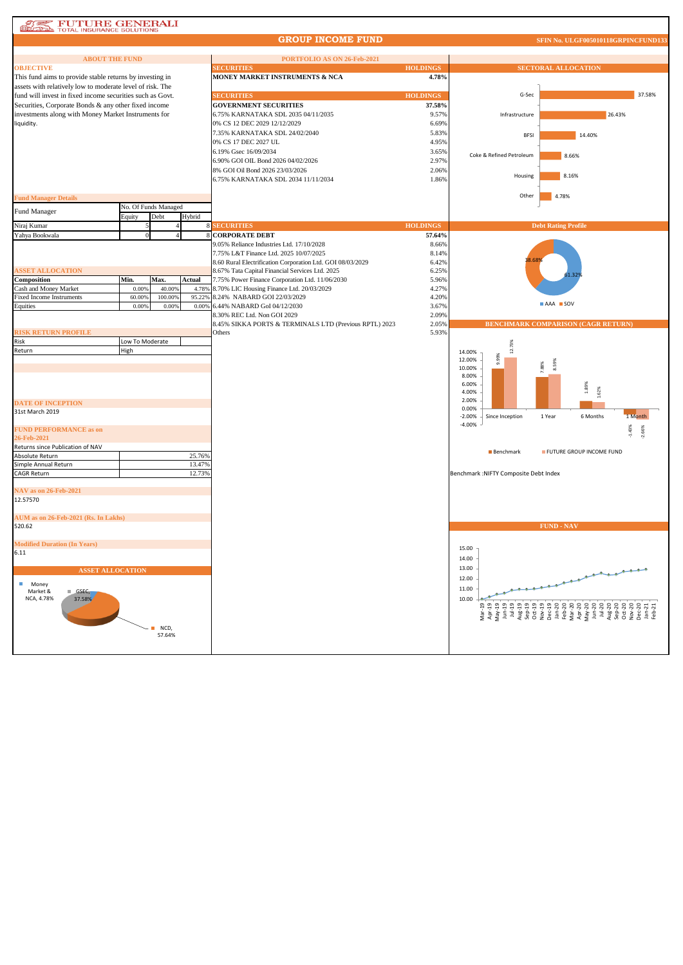# **AND FUTURE GENERALI**

### **GROUP INCOME FUND**

| <b>ABOUT THE FUND</b>                                     |                 |                      |                 | PORTFOLIO AS ON 26-Feb-2021                                                                  |                 |                                        |                                           |  |  |
|-----------------------------------------------------------|-----------------|----------------------|-----------------|----------------------------------------------------------------------------------------------|-----------------|----------------------------------------|-------------------------------------------|--|--|
| <b>OBJECTIVE</b>                                          |                 |                      |                 | <b>ECURITIES</b>                                                                             | <b>HOLDINGS</b> | <b>SECTORAL ALLOCATION</b>             |                                           |  |  |
| This fund aims to provide stable returns by investing in  |                 |                      |                 | MONEY MARKET INSTRUMENTS & NCA                                                               | 4.78%           |                                        |                                           |  |  |
| assets with relatively low to moderate level of risk. The |                 |                      |                 |                                                                                              |                 |                                        |                                           |  |  |
| fund will invest in fixed income securities such as Govt. |                 |                      |                 | <b>SECURITIES</b>                                                                            | <b>HOLDINGS</b> | G-Sec                                  | 37.58%                                    |  |  |
| Securities, Corporate Bonds & any other fixed income      |                 |                      |                 | <b>GOVERNMENT SECURITIES</b>                                                                 | 37.58%          |                                        |                                           |  |  |
| investments along with Money Market Instruments for       |                 |                      |                 | 6.75% KARNATAKA SDL 2035 04/11/2035                                                          | 9.57%           | Infrastructure                         | 26.43%                                    |  |  |
| liquidity.                                                |                 |                      |                 | 0% CS 12 DEC 2029 12/12/2029                                                                 | 6.69%           |                                        |                                           |  |  |
|                                                           |                 |                      |                 | 7.35% KARNATAKA SDL 24/02/2040                                                               | 5.83%           | <b>BFSI</b>                            | 14.40%                                    |  |  |
|                                                           |                 |                      |                 | 0% CS 17 DEC 2027 UL                                                                         | 4.95%           |                                        |                                           |  |  |
|                                                           |                 |                      |                 | 6.19% Gsec 16/09/2034                                                                        | 3.65%           | Coke & Refined Petroleum               | 8.66%                                     |  |  |
|                                                           |                 |                      |                 | 6.90% GOI OIL Bond 2026 04/02/2026                                                           | 2.97%           |                                        |                                           |  |  |
|                                                           |                 |                      |                 | 8% GOI Oil Bond 2026 23/03/2026                                                              | 2.06%           | Housing                                | 8.16%                                     |  |  |
|                                                           |                 |                      |                 | 6.75% KARNATAKA SDL 2034 11/11/2034                                                          | 1.86%           |                                        |                                           |  |  |
|                                                           |                 |                      |                 |                                                                                              |                 |                                        |                                           |  |  |
| <b>Fund Manager Details</b>                               |                 |                      |                 |                                                                                              |                 | Other                                  | 4.78%                                     |  |  |
| Fund Manager                                              |                 | No. Of Funds Managed |                 |                                                                                              |                 |                                        |                                           |  |  |
|                                                           | Equity          | Debt                 | Hybrid          |                                                                                              |                 |                                        |                                           |  |  |
| Niraj Kumar                                               |                 |                      |                 | <b>8 SECURITIES</b>                                                                          | <b>HOLDINGS</b> |                                        | <b>Debt Rating Profile</b>                |  |  |
| Yahya Bookwala                                            |                 |                      |                 | <b>CORPORATE DEBT</b>                                                                        | 57.64%          |                                        |                                           |  |  |
|                                                           |                 |                      |                 | 9.05% Reliance Industries Ltd. 17/10/2028                                                    | 8.66%           |                                        |                                           |  |  |
|                                                           |                 |                      |                 | 7.75% L&T Finance Ltd. 2025 10/07/2025                                                       | 8.14%           | 8.68                                   |                                           |  |  |
|                                                           |                 |                      |                 | 8.60 Rural Electrification Corporation Ltd. GOI 08/03/2029                                   | 6.42%           |                                        |                                           |  |  |
| <b>ASSET ALLOCATION</b><br>Composition                    | Min.            | Max.                 |                 | 8.67% Tata Capital Financial Services Ltd. 2025                                              | 6.25%           |                                        | 51.32                                     |  |  |
| Cash and Money Market                                     | 0.00%           | 40.00%               | Actual<br>4.789 | 7.75% Power Finance Corporation Ltd. 11/06/2030<br>8.70% LIC Housing Finance Ltd. 20/03/2029 | 5.96%<br>4.27%  |                                        |                                           |  |  |
| <b>Fixed Income Instruments</b>                           | 60.009          | 100.009              | 95.229          | 8.24% NABARD GOI 22/03/2029                                                                  | 4.20%           |                                        |                                           |  |  |
| Equities                                                  | 0.00%           | 0.00%                | 0.00%           | 6.44% NABARD GoI 04/12/2030                                                                  | 3.67%           |                                        | AAA SOV                                   |  |  |
|                                                           |                 |                      |                 | 8.30% REC Ltd. Non GOI 2029                                                                  | 2.09%           |                                        |                                           |  |  |
|                                                           |                 |                      |                 | 8.45% SIKKA PORTS & TERMINALS LTD (Previous RPTL) 2023                                       | 2.05%           |                                        | <b>BENCHMARK COMPARISON (CAGR RETURN)</b> |  |  |
| <b>RISK RETURN PROFILE</b>                                |                 |                      |                 | Others                                                                                       | 5.93%           |                                        |                                           |  |  |
| Risk                                                      | Low To Moderate |                      |                 |                                                                                              |                 |                                        |                                           |  |  |
| Return                                                    | High            |                      |                 |                                                                                              |                 | 12.73%<br>14.00%                       |                                           |  |  |
|                                                           |                 |                      |                 |                                                                                              |                 | 9.99%<br>12.00%                        | 59%                                       |  |  |
|                                                           |                 |                      |                 |                                                                                              |                 | 10.00%                                 | 88%                                       |  |  |
|                                                           |                 |                      |                 |                                                                                              |                 | 8.00%                                  |                                           |  |  |
|                                                           |                 |                      |                 |                                                                                              |                 | 6.00%<br>4.00%                         | 1.89%<br>1.62%                            |  |  |
|                                                           |                 |                      |                 |                                                                                              |                 | 2.00%                                  |                                           |  |  |
| <b>DATE OF INCEPTION</b>                                  |                 |                      |                 |                                                                                              |                 | 0.00%                                  |                                           |  |  |
| 31st March 2019                                           |                 |                      |                 |                                                                                              |                 | $-2.00%$<br>Since Inception            | 1 Month<br>1 Year<br>6 Months             |  |  |
| <b>FUND PERFORMANCE as on</b>                             |                 |                      |                 |                                                                                              |                 | $-4.00%$                               |                                           |  |  |
| 26-Feb-2021                                               |                 |                      |                 |                                                                                              |                 |                                        | $-1.43%$<br>2.66%                         |  |  |
| Returns since Publication of NAV                          |                 |                      |                 |                                                                                              |                 |                                        |                                           |  |  |
| <b>Absolute Return</b>                                    |                 |                      | 25.769          |                                                                                              |                 | <b>Benchmark</b>                       | FUTURE GROUP INCOME FUND                  |  |  |
| Simple Annual Return                                      |                 |                      | 13.47%          |                                                                                              |                 |                                        |                                           |  |  |
| <b>CAGR Return</b>                                        |                 |                      | 12.73%          |                                                                                              |                 | Benchmark : NIFTY Composite Debt Index |                                           |  |  |
|                                                           |                 |                      |                 |                                                                                              |                 |                                        |                                           |  |  |
| NAV as on 26-Feb-2021                                     |                 |                      |                 |                                                                                              |                 |                                        |                                           |  |  |
| 12.57570                                                  |                 |                      |                 |                                                                                              |                 |                                        |                                           |  |  |
|                                                           |                 |                      |                 |                                                                                              |                 |                                        |                                           |  |  |
| AUM as on 26-Feb-2021 (Rs. In Lakhs)                      |                 |                      |                 |                                                                                              |                 |                                        |                                           |  |  |
| 520.62                                                    |                 |                      |                 |                                                                                              |                 |                                        | <b>FUND - NAV</b>                         |  |  |
| <b>Modified Duration (In Years)</b>                       |                 |                      |                 |                                                                                              |                 |                                        |                                           |  |  |
| 6.11                                                      |                 |                      |                 |                                                                                              |                 | 15.00                                  |                                           |  |  |
|                                                           |                 |                      |                 |                                                                                              |                 | 14.00                                  |                                           |  |  |
| <b>ASSET ALLOCATION</b>                                   |                 |                      |                 |                                                                                              |                 | 13.00                                  |                                           |  |  |
|                                                           |                 |                      |                 |                                                                                              |                 | 12.00                                  | J.                                        |  |  |
| П<br>Money                                                |                 |                      |                 |                                                                                              |                 | 11.00                                  |                                           |  |  |
| Market &<br>GSEC,<br>NCA, 4.78%<br>37.58%                 |                 |                      |                 |                                                                                              |                 | 10.00                                  |                                           |  |  |
|                                                           |                 |                      |                 |                                                                                              |                 |                                        |                                           |  |  |
|                                                           |                 |                      |                 |                                                                                              |                 |                                        |                                           |  |  |
|                                                           |                 | $NCD$ ,              |                 |                                                                                              |                 |                                        |                                           |  |  |
|                                                           |                 | 57.64%               |                 |                                                                                              |                 |                                        |                                           |  |  |
|                                                           |                 |                      |                 |                                                                                              |                 |                                        |                                           |  |  |
|                                                           |                 |                      |                 |                                                                                              |                 |                                        |                                           |  |  |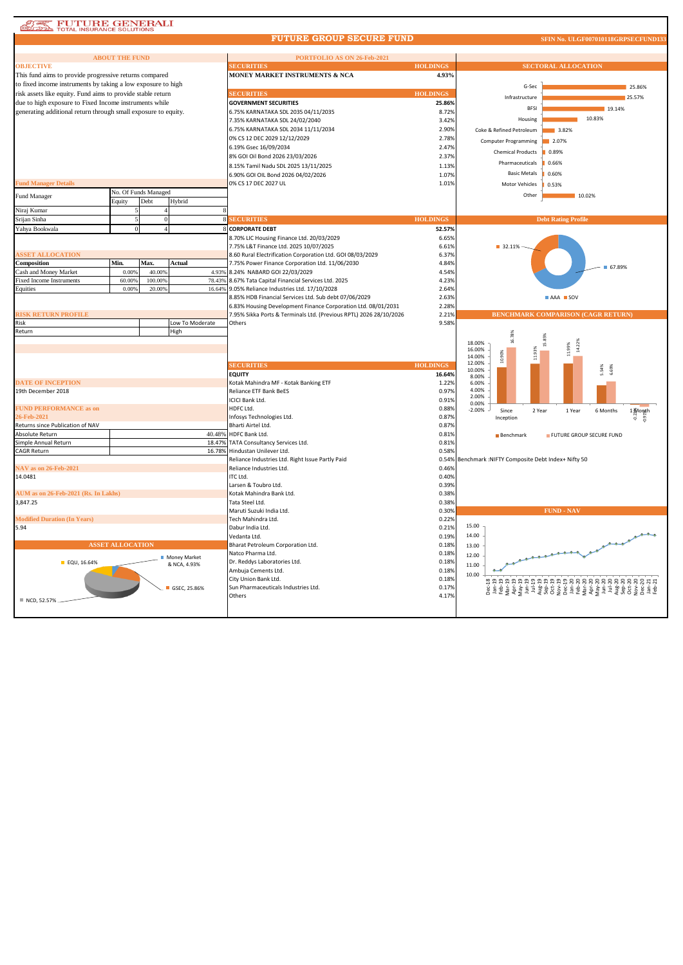| <b>AT FUTURE GENERALI</b> |
|---------------------------|

### **FUTURE GROUP SECURE FUND**

#### **SFIN No. ULGF007010118GRI**

|                                                                | <b>ABOUT THE FUND</b>   |                      |                 | PORTFOLIO AS ON 26-Feb-2021                                        |                 |                                                       |  |  |  |
|----------------------------------------------------------------|-------------------------|----------------------|-----------------|--------------------------------------------------------------------|-----------------|-------------------------------------------------------|--|--|--|
| <b>OBJECTIVE</b>                                               |                         |                      |                 | <b>SECURITIES</b>                                                  | <b>HOLDINGS</b> | <b>SECTORAL ALLOCATION</b>                            |  |  |  |
| This fund aims to provide progressive returns compared         |                         |                      |                 | <b>MONEY MARKET INSTRUMENTS &amp; NCA</b>                          | 4.93%           |                                                       |  |  |  |
| to fixed income instruments by taking a low exposure to high   |                         |                      |                 |                                                                    |                 | G-Sec<br>25.86%                                       |  |  |  |
| risk assets like equity. Fund aims to provide stable return    |                         |                      |                 | <b>SECURITIES</b>                                                  | <b>HOLDINGS</b> | Infrastructure<br>25.57%                              |  |  |  |
| due to high exposure to Fixed Income instruments while         |                         |                      |                 | <b>GOVERNMENT SECURITIES</b>                                       | 25.86%          |                                                       |  |  |  |
| generating additional return through small exposure to equity. |                         |                      |                 | 6.75% KARNATAKA SDL 2035 04/11/2035                                | 8.72%           | <b>BFSI</b><br>19.14%                                 |  |  |  |
|                                                                |                         |                      |                 | 7.35% KARNATAKA SDL 24/02/2040                                     | 3.42%           | 10.83%<br>Housing                                     |  |  |  |
|                                                                |                         |                      |                 | 6.75% KARNATAKA SDL 2034 11/11/2034                                | 2.90%           | Coke & Refined Petroleum<br>3.82%                     |  |  |  |
|                                                                |                         |                      |                 | 0% CS 12 DEC 2029 12/12/2029                                       | 2.78%           | <b>Computer Programming</b><br>2.07%                  |  |  |  |
|                                                                |                         |                      |                 | 6.19% Gsec 16/09/2034                                              | 2.47%           |                                                       |  |  |  |
|                                                                |                         |                      |                 | 8% GOI Oil Bond 2026 23/03/2026                                    | 2.379           | <b>Chemical Products</b><br>0.89%                     |  |  |  |
|                                                                |                         |                      |                 | 8.15% Tamil Nadu SDL 2025 13/11/2025                               | 1.13%           | Pharmaceuticals<br>0.66%                              |  |  |  |
|                                                                |                         |                      |                 | 6.90% GOI OIL Bond 2026 04/02/2026                                 | 1.07%           | <b>Basic Metals</b><br>0.60%                          |  |  |  |
| <b>Fund Manager Details</b>                                    |                         |                      |                 | 0% CS 17 DEC 2027 UL                                               | 1.01%           | Motor Vehicles<br>0.53%                               |  |  |  |
|                                                                |                         | No. Of Funds Managed |                 |                                                                    |                 |                                                       |  |  |  |
| Fund Manager                                                   | Equity                  | Debt                 | Hybrid          |                                                                    |                 | Other<br>10.02%                                       |  |  |  |
| Niraj Kumar                                                    |                         |                      |                 |                                                                    |                 |                                                       |  |  |  |
| Srijan Sinha                                                   |                         |                      |                 | <b>8 SECURITIES</b>                                                | <b>HOLDINGS</b> | <b>Debt Rating Profile</b>                            |  |  |  |
| Yahya Bookwala                                                 |                         |                      |                 | 8 CORPORATE DEBT                                                   | 52.57%          |                                                       |  |  |  |
|                                                                |                         |                      |                 | 8.70% LIC Housing Finance Ltd. 20/03/2029                          | 6.65%           |                                                       |  |  |  |
|                                                                |                         |                      |                 | 7.75% L&T Finance Ltd. 2025 10/07/2025                             | 6.619           | ■ 32.11%                                              |  |  |  |
| <b>ASSET ALLOCATION</b>                                        |                         |                      |                 | 8.60 Rural Electrification Corporation Ltd. GOI 08/03/2029         | 6.37%           |                                                       |  |  |  |
| Composition                                                    | Min.                    | Max.                 | Actual          | 7.75% Power Finance Corporation Ltd. 11/06/2030                    | 4.84%           |                                                       |  |  |  |
| Cash and Money Market                                          | 0.00%                   | 40.009               |                 | 4.93% 8.24% NABARD GOI 22/03/2029                                  | 4.54%           | 67.89%                                                |  |  |  |
| <b>Fixed Income Instruments</b>                                | 60.00%                  | 100.00%              | 78.43%          | 8.67% Tata Capital Financial Services Ltd. 2025                    | 4.23%           |                                                       |  |  |  |
| Equities                                                       | 0.00%                   | 20.00%               |                 | 16.64% 9.05% Reliance Industries Ltd. 17/10/2028                   | 2.64%           |                                                       |  |  |  |
|                                                                |                         |                      |                 | 8.85% HDB Financial Services Ltd. Sub debt 07/06/2029              | 2.639           | AAA SOV                                               |  |  |  |
|                                                                |                         |                      |                 | 6.83% Housing Development Finance Corporation Ltd. 08/01/2031      | 2.28%           |                                                       |  |  |  |
| <b>RISK RETURN PROFILE</b>                                     |                         |                      |                 | 7.95% Sikka Ports & Terminals Ltd. (Previous RPTL) 2026 28/10/2026 | 2.219           | BENCHMARK COMPARISON (CAGR RETURN)                    |  |  |  |
| Risk                                                           |                         |                      | Low To Moderate | Others                                                             | 9.58%           |                                                       |  |  |  |
| Return                                                         |                         |                      | High            |                                                                    |                 |                                                       |  |  |  |
|                                                                |                         |                      |                 |                                                                    |                 | $16.78\%$<br>18.00%                                   |  |  |  |
|                                                                |                         |                      |                 |                                                                    |                 | Ξń<br>11.99%<br>16.00%                                |  |  |  |
|                                                                |                         |                      |                 |                                                                    |                 | 10.90%<br>14.00%                                      |  |  |  |
|                                                                |                         |                      |                 | <b>SECURITIES</b>                                                  | <b>HOLDINGS</b> | 12.00%<br>54%<br>69%                                  |  |  |  |
|                                                                |                         |                      |                 | <b>EQUITY</b>                                                      | 16.64%          | 10.00%<br>8.00%                                       |  |  |  |
| <b>DATE OF INCEPTION</b>                                       |                         |                      |                 | Kotak Mahindra MF - Kotak Banking ETF                              | 1.22%           | 6.00%                                                 |  |  |  |
| 19th December 2018                                             |                         |                      |                 | Reliance ETF Bank BeES                                             | 0.97%           | 4.00%                                                 |  |  |  |
|                                                                |                         |                      |                 | ICICI Bank Ltd.                                                    | 0.91%           | 2.00%<br>0.00%                                        |  |  |  |
| <b>FUND PERFORMANCE as on</b>                                  |                         |                      |                 | HDFC Ltd.                                                          | 0.88%           | $-2.00%$<br>Since<br>2 Year<br>1 Year<br>6 Months     |  |  |  |
| 26-Feb-2021                                                    |                         |                      |                 | Infosys Technologies Ltd.                                          | 0.87%           | $\lim_{\substack{a \to a \\ b \to c}} 1$<br>Inception |  |  |  |
| Returns since Publication of NAV                               |                         |                      |                 | Bharti Airtel Ltd.                                                 | 0.87%           |                                                       |  |  |  |
| Absolute Return                                                |                         |                      | 40.48%          | HDFC Bank Ltd.                                                     | 0.81%           | FUTURE GROUP SECURE FUND<br>Benchmark                 |  |  |  |
| Simple Annual Return                                           |                         |                      |                 | 18.47% TATA Consultancy Services Ltd.                              | 0.819           |                                                       |  |  |  |
| <b>CAGR Return</b>                                             |                         |                      |                 | 16.78% Hindustan Unilever Ltd.                                     | 0.58%           |                                                       |  |  |  |
|                                                                |                         |                      |                 | Reliance Industries Ltd. Right Issue Partly Paid                   | 0.54%           | Benchmark : NIFTY Composite Debt Index+ Nifty 50      |  |  |  |
| NAV as on 26-Feb-2021                                          |                         |                      |                 | Reliance Industries Ltd.                                           | 0.469           |                                                       |  |  |  |
| 14.0481                                                        |                         |                      |                 | ITC Ltd.                                                           | 0.40%           |                                                       |  |  |  |
|                                                                |                         |                      |                 | Larsen & Toubro Ltd.                                               | 0.39%           |                                                       |  |  |  |
| AUM as on 26-Feb-2021 (Rs. In Lakhs)                           |                         |                      |                 | Kotak Mahindra Bank Ltd.                                           | 0.38%           |                                                       |  |  |  |
| 3,847.25                                                       |                         |                      |                 | Tata Steel Ltd.<br>Maruti Suzuki India Ltd.                        | 0.389<br>0.30%  | <b>FUND - NAV</b>                                     |  |  |  |
| <b>Modified Duration (In Years)</b>                            |                         |                      |                 | Tech Mahindra Ltd.                                                 | 0.22%           |                                                       |  |  |  |
| 5.94                                                           |                         |                      |                 | Dabur India Ltd.                                                   | 0.21%           | 15.00                                                 |  |  |  |
|                                                                |                         |                      |                 | Vedanta Ltd.                                                       | 0.19%           | 14.00                                                 |  |  |  |
|                                                                | <b>ASSET ALLOCATION</b> |                      |                 | Bharat Petroleum Corporation Ltd.                                  | 0.18%           | 13.00                                                 |  |  |  |
|                                                                |                         |                      |                 | Natco Pharma Ltd.                                                  | 0.18%           |                                                       |  |  |  |
| EQU, 16.64%                                                    |                         |                      | Money Market    | Dr. Reddys Laboratories Ltd.                                       | 0.18%           | 12.00                                                 |  |  |  |
|                                                                |                         |                      | & NCA, 4.93%    | Ambuja Cements Ltd.                                                | 0.18%           | 11.00                                                 |  |  |  |
|                                                                |                         |                      |                 | City Union Bank Ltd.                                               | 0.189           | 10.00                                                 |  |  |  |
|                                                                |                         |                      | GSEC. 25.86%    | Sun Pharmaceuticals Industries Ltd.                                | 0.17%           |                                                       |  |  |  |
|                                                                |                         |                      |                 | Others                                                             | 4.17%           |                                                       |  |  |  |
| NCD, 52.57%                                                    |                         |                      |                 |                                                                    |                 |                                                       |  |  |  |
|                                                                |                         |                      |                 |                                                                    |                 |                                                       |  |  |  |